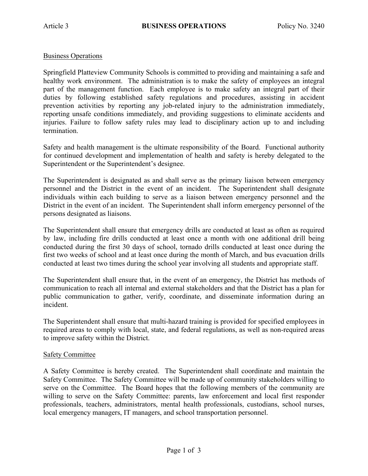## Business Operations

Springfield Platteview Community Schools is committed to providing and maintaining a safe and healthy work environment. The administration is to make the safety of employees an integral part of the management function. Each employee is to make safety an integral part of their duties by following established safety regulations and procedures, assisting in accident prevention activities by reporting any job-related injury to the administration immediately, reporting unsafe conditions immediately, and providing suggestions to eliminate accidents and injuries. Failure to follow safety rules may lead to disciplinary action up to and including termination.

Safety and health management is the ultimate responsibility of the Board. Functional authority for continued development and implementation of health and safety is hereby delegated to the Superintendent or the Superintendent's designee.

The Superintendent is designated as and shall serve as the primary liaison between emergency personnel and the District in the event of an incident. The Superintendent shall designate individuals within each building to serve as a liaison between emergency personnel and the District in the event of an incident. The Superintendent shall inform emergency personnel of the persons designated as liaisons.

The Superintendent shall ensure that emergency drills are conducted at least as often as required by law, including fire drills conducted at least once a month with one additional drill being conducted during the first 30 days of school, tornado drills conducted at least once during the first two weeks of school and at least once during the month of March, and bus evacuation drills conducted at least two times during the school year involving all students and appropriate staff.

The Superintendent shall ensure that, in the event of an emergency, the District has methods of communication to reach all internal and external stakeholders and that the District has a plan for public communication to gather, verify, coordinate, and disseminate information during an incident.

The Superintendent shall ensure that multi-hazard training is provided for specified employees in required areas to comply with local, state, and federal regulations, as well as non-required areas to improve safety within the District.

## Safety Committee

A Safety Committee is hereby created. The Superintendent shall coordinate and maintain the Safety Committee. The Safety Committee will be made up of community stakeholders willing to serve on the Committee. The Board hopes that the following members of the community are willing to serve on the Safety Committee: parents, law enforcement and local first responder professionals, teachers, administrators, mental health professionals, custodians, school nurses, local emergency managers, IT managers, and school transportation personnel.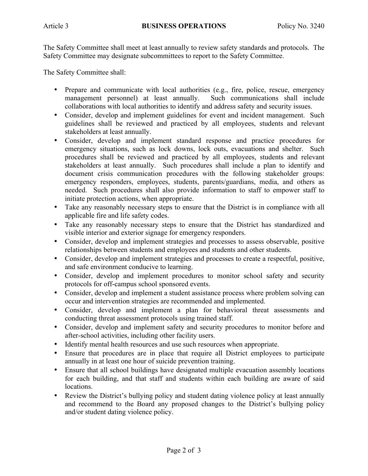The Safety Committee shall meet at least annually to review safety standards and protocols. The Safety Committee may designate subcommittees to report to the Safety Committee.

The Safety Committee shall:

- Prepare and communicate with local authorities (e.g., fire, police, rescue, emergency management personnel) at least annually. Such communications shall include collaborations with local authorities to identify and address safety and security issues.
- Consider, develop and implement guidelines for event and incident management. Such guidelines shall be reviewed and practiced by all employees, students and relevant stakeholders at least annually.
- Consider, develop and implement standard response and practice procedures for emergency situations, such as lock downs, lock outs, evacuations and shelter. Such procedures shall be reviewed and practiced by all employees, students and relevant stakeholders at least annually. Such procedures shall include a plan to identify and document crisis communication procedures with the following stakeholder groups: emergency responders, employees, students, parents/guardians, media, and others as needed. Such procedures shall also provide information to staff to empower staff to initiate protection actions, when appropriate.
- Take any reasonably necessary steps to ensure that the District is in compliance with all applicable fire and life safety codes.
- Take any reasonably necessary steps to ensure that the District has standardized and visible interior and exterior signage for emergency responders.
- Consider, develop and implement strategies and processes to assess observable, positive relationships between students and employees and students and other students.
- Consider, develop and implement strategies and processes to create a respectful, positive, and safe environment conducive to learning.
- Consider, develop and implement procedures to monitor school safety and security protocols for off-campus school sponsored events.
- Consider, develop and implement a student assistance process where problem solving can occur and intervention strategies are recommended and implemented.
- Consider, develop and implement a plan for behavioral threat assessments and conducting threat assessment protocols using trained staff.
- Consider, develop and implement safety and security procedures to monitor before and after-school activities, including other facility users.
- Identify mental health resources and use such resources when appropriate.
- Ensure that procedures are in place that require all District employees to participate annually in at least one hour of suicide prevention training.
- Ensure that all school buildings have designated multiple evacuation assembly locations for each building, and that staff and students within each building are aware of said locations.
- Review the District's bullying policy and student dating violence policy at least annually and recommend to the Board any proposed changes to the District's bullying policy and/or student dating violence policy.